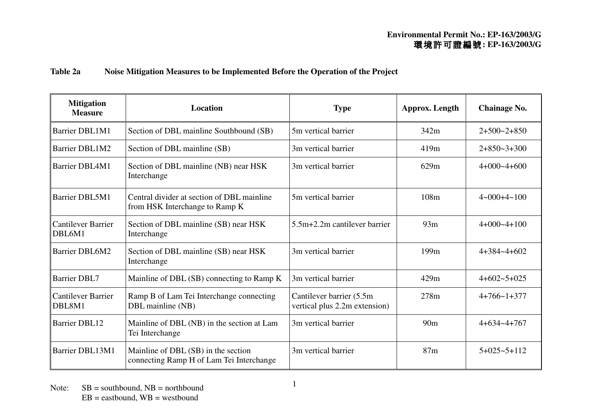## **Table 2a Noise Mitigation Measures to be Implemented Before the Operation of the Project**

| <b>Mitigation</b><br><b>Measure</b> | <b>Location</b>                                                                 | <b>Type</b>                                                | <b>Approx.</b> Length | <b>Chainage No.</b>           |
|-------------------------------------|---------------------------------------------------------------------------------|------------------------------------------------------------|-----------------------|-------------------------------|
| <b>Barrier DBL1M1</b>               | Section of DBL mainline Southbound (SB)                                         | 5m vertical barrier                                        | 342m                  | $2+500-2+850$                 |
| <b>Barrier DBL1M2</b>               | Section of DBL mainline (SB)                                                    | 3m vertical barrier                                        | 419m                  | $2+850-3+300$                 |
| Barrier DBL4M1                      | Section of DBL mainline (NB) near HSK<br>Interchange                            | 3m vertical barrier                                        | 629m                  | $4+000-4+600$                 |
| <b>Barrier DBL5M1</b>               | Central divider at section of DBL mainline<br>from HSK Interchange to Ramp K    | 5m vertical barrier                                        | 108m                  | $4 \times 000 + 4 \times 100$ |
| <b>Cantilever Barrier</b><br>DBL6M1 | Section of DBL mainline (SB) near HSK<br>Interchange                            | $5.5m+2.2m$ cantilever barrier                             | 93m                   | $4+000-4+100$                 |
| <b>Barrier DBL6M2</b>               | Section of DBL mainline (SB) near HSK<br>Interchange                            | 3m vertical barrier                                        | 199 <sub>m</sub>      | $4+384-4+602$                 |
| <b>Barrier DBL7</b>                 | Mainline of DBL (SB) connecting to Ramp K                                       | 3m vertical barrier                                        | 429m                  | $4+602-5+025$                 |
| <b>Cantilever Barrier</b><br>DBL8M1 | Ramp B of Lam Tei Interchange connecting<br>DBL mainline (NB)                   | Cantilever barrier (5.5m)<br>vertical plus 2.2m extension) | 278m                  | $4+766-1+377$                 |
| <b>Barrier DBL12</b>                | Mainline of DBL (NB) in the section at Lam<br>Tei Interchange                   | 3m vertical barrier                                        | 90 <sub>m</sub>       | $4+634-4+767$                 |
| Barrier DBL13M1                     | Mainline of DBL (SB) in the section<br>connecting Ramp H of Lam Tei Interchange | 3m vertical barrier                                        | 87m                   | $5+025-5+112$                 |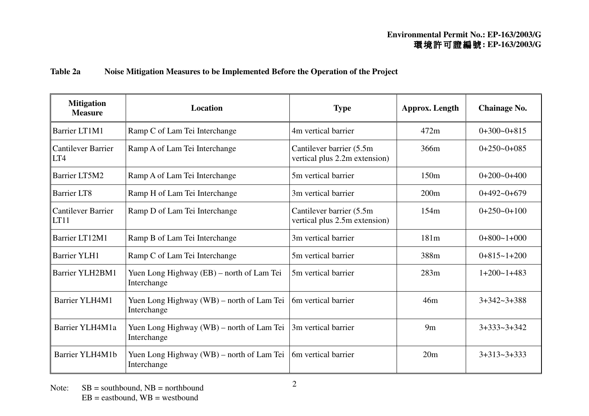## **Table 2a Noise Mitigation Measures to be Implemented Before the Operation of the Project**

| <b>Mitigation</b><br><b>Measure</b> | <b>Location</b>                                          | <b>Type</b>                                                | <b>Approx.</b> Length | <b>Chainage No.</b> |
|-------------------------------------|----------------------------------------------------------|------------------------------------------------------------|-----------------------|---------------------|
| Barrier LT1M1                       | Ramp C of Lam Tei Interchange                            | 4m vertical barrier                                        | 472m                  | $0+300-0+815$       |
| <b>Cantilever Barrier</b><br>LT4    | Ramp A of Lam Tei Interchange                            | Cantilever barrier (5.5m)<br>vertical plus 2.2m extension) | 366m                  | $0+250-0+085$       |
| Barrier LT5M2                       | Ramp A of Lam Tei Interchange                            | 5m vertical barrier                                        | 150m                  | $0+200-0+400$       |
| <b>Barrier LT8</b>                  | Ramp H of Lam Tei Interchange                            | 3m vertical barrier                                        | 200m                  | $0+492-0+679$       |
| <b>Cantilever Barrier</b><br>LT11   | Ramp D of Lam Tei Interchange                            | Cantilever barrier (5.5m)<br>vertical plus 2.5m extension) | 154m                  | $0+250-0+100$       |
| Barrier LT12M1                      | Ramp B of Lam Tei Interchange                            | 3m vertical barrier                                        | 181m                  | $0+800-1+000$       |
| <b>Barrier YLH1</b>                 | Ramp C of Lam Tei Interchange                            | 5m vertical barrier                                        | 388m                  | $0+815-1+200$       |
| Barrier YLH2BM1                     | Yuen Long Highway (EB) – north of Lam Tei<br>Interchange | 5m vertical barrier                                        | 283m                  | $1+200-1+483$       |
| Barrier YLH4M1                      | Yuen Long Highway (WB) – north of Lam Tei<br>Interchange | 6m vertical barrier                                        | 46m                   | $3+342-3+388$       |
| Barrier YLH4M1a                     | Yuen Long Highway (WB) – north of Lam Tei<br>Interchange | 3m vertical barrier                                        | 9m                    | $3+333-3+342$       |
| Barrier YLH4M1b                     | Yuen Long Highway (WB) – north of Lam Tei<br>Interchange | 6m vertical barrier                                        | 20 <sub>m</sub>       | $3+313-3+333$       |

Note:  $SB =$  southbound, NB = northbound  $EB = eastbound$ ,  $WB = westbound$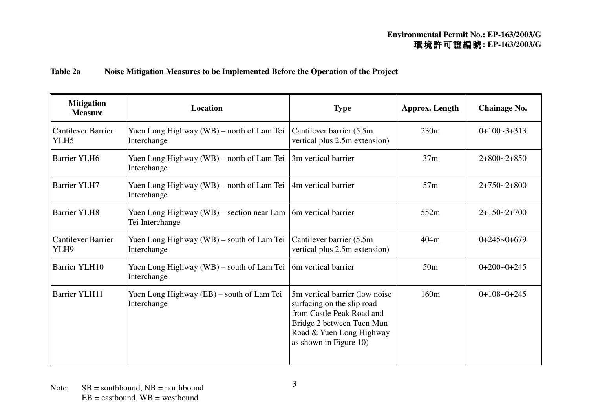## **Table 2a Noise Mitigation Measures to be Implemented Before the Operation of the Project**

| <b>Mitigation</b><br><b>Measure</b>           | <b>Location</b>                                                | <b>Type</b>                                                                                                                                                                   |                 | <b>Chainage No.</b> |  |
|-----------------------------------------------|----------------------------------------------------------------|-------------------------------------------------------------------------------------------------------------------------------------------------------------------------------|-----------------|---------------------|--|
| <b>Cantilever Barrier</b><br>YLH <sub>5</sub> | Yuen Long Highway (WB) – north of Lam Tei<br>Interchange       | Cantilever barrier (5.5m)<br>vertical plus 2.5m extension)                                                                                                                    | 230m            | $0+100-3+313$       |  |
| <b>Barrier YLH6</b>                           | Yuen Long Highway (WB) – north of Lam Tei<br>Interchange       | 3m vertical barrier                                                                                                                                                           | 37m             | $2+800-2+850$       |  |
| <b>Barrier YLH7</b>                           | Yuen Long Highway (WB) – north of Lam Tei<br>Interchange       | 4m vertical barrier                                                                                                                                                           | 57m             | $2+750-2+800$       |  |
| <b>Barrier YLH8</b>                           | Yuen Long Highway $(WB)$ – section near Lam<br>Tei Interchange | 6m vertical barrier                                                                                                                                                           | 552m            | $2+150-2+700$       |  |
| <b>Cantilever Barrier</b><br>YLH9             | Yuen Long Highway $(WB)$ – south of Lam Tei<br>Interchange     | Cantilever barrier (5.5m)<br>vertical plus 2.5m extension)                                                                                                                    | 404m            | $0+245-0+679$       |  |
| <b>Barrier YLH10</b>                          | Yuen Long Highway (WB) – south of Lam Tei<br>Interchange       | 6m vertical barrier                                                                                                                                                           | 50 <sub>m</sub> | $0+200-0+245$       |  |
| <b>Barrier YLH11</b>                          | Yuen Long Highway (EB) – south of Lam Tei<br>Interchange       | 5m vertical barrier (low noise)<br>surfacing on the slip road<br>from Castle Peak Road and<br>Bridge 2 between Tuen Mun<br>Road & Yuen Long Highway<br>as shown in Figure 10) | 160m            | $0+108-0+245$       |  |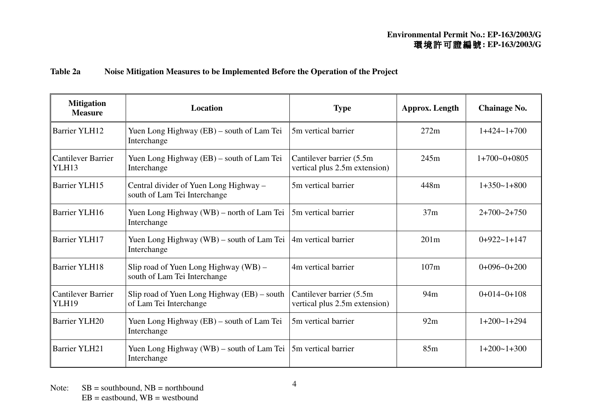## **Table 2a Noise Mitigation Measures to be Implemented Before the Operation of the Project**

| <b>Mitigation</b><br><b>Measure</b>       | <b>Location</b>                                                        | <b>Type</b>                                                | <b>Approx.</b> Length | <b>Chainage No.</b> |
|-------------------------------------------|------------------------------------------------------------------------|------------------------------------------------------------|-----------------------|---------------------|
| <b>Barrier YLH12</b>                      | Yuen Long Highway (EB) – south of Lam Tei<br>Interchange               | 5m vertical barrier                                        | 272m                  | $1+424-1+700$       |
| <b>Cantilever Barrier</b><br>YLH13        | Yuen Long Highway (EB) – south of Lam Tei<br>Interchange               | Cantilever barrier (5.5m)<br>vertical plus 2.5m extension) | 245m                  | $1+700-0+0805$      |
| <b>Barrier YLH15</b>                      | Central divider of Yuen Long Highway –<br>south of Lam Tei Interchange | 5m vertical barrier                                        | 448m                  | $1+350-1+800$       |
| <b>Barrier YLH16</b>                      | Yuen Long Highway (WB) – north of Lam Tei<br>Interchange               | 5m vertical barrier                                        | 37m                   | $2+700-2+750$       |
| <b>Barrier YLH17</b>                      | Yuen Long Highway (WB) – south of Lam Tei<br>Interchange               | 4m vertical barrier                                        | 201m                  | $0+922-1+147$       |
| <b>Barrier YLH18</b>                      | Slip road of Yuen Long Highway (WB) –<br>south of Lam Tei Interchange  | 4m vertical barrier                                        | 107m                  | $0+096-0+200$       |
| <b>Cantilever Barrier</b><br><b>YLH19</b> | Slip road of Yuen Long Highway (EB) – south<br>of Lam Tei Interchange  | Cantilever barrier (5.5m)<br>vertical plus 2.5m extension) | 94m                   | $0+014-0+108$       |
| <b>Barrier YLH20</b>                      | Yuen Long Highway (EB) – south of Lam Tei<br>Interchange               | 5m vertical barrier                                        | 92m                   | $1+200-1+294$       |
| <b>Barrier YLH21</b>                      | Yuen Long Highway (WB) – south of Lam Tei<br>Interchange               | 5m vertical barrier                                        | 85m                   | $1+200-1+300$       |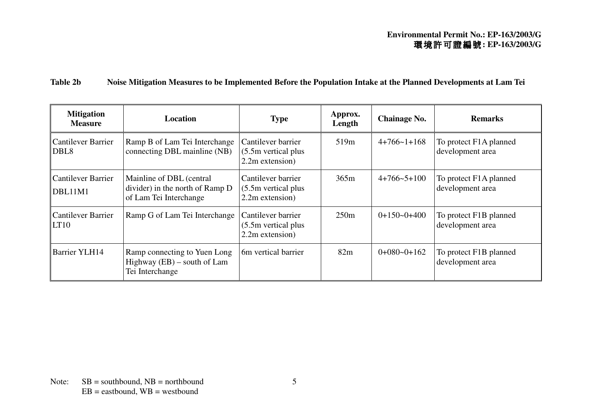# **Table 2b Noise Mitigation Measures to be Implemented Before the Population Intake at the Planned Developments at Lam Tei**

| <b>Mitigation</b><br><b>Measure</b>           | <b>Location</b>                                                                       | <b>Type</b>                                                    | Approx.<br>Length | <b>Chainage No.</b> | <b>Remarks</b>                             |
|-----------------------------------------------|---------------------------------------------------------------------------------------|----------------------------------------------------------------|-------------------|---------------------|--------------------------------------------|
| <b>Cantilever Barrier</b><br>DBL <sub>8</sub> | Ramp B of Lam Tei Interchange<br>connecting DBL mainline (NB)                         | Cantilever barrier<br>$(5.5m$ vertical plus<br>2.2m extension) | 519 <sub>m</sub>  | $4+766-1+168$       | To protect F1A planned<br>development area |
| <b>Cantilever Barrier</b><br>DBL11M1          | Mainline of DBL (central<br>divider) in the north of Ramp D<br>of Lam Tei Interchange | Cantilever barrier<br>$(5.5m$ vertical plus<br>2.2m extension) | 365m              | $4+766-5+100$       | To protect F1A planned<br>development area |
| <b>Cantilever Barrier</b><br>LT10             | Ramp G of Lam Tei Interchange                                                         | Cantilever barrier<br>(5.5m vertical plus)<br>2.2m extension)  | 250m              | $0+150-0+400$       | To protect F1B planned<br>development area |
| <b>Barrier YLH14</b>                          | Ramp connecting to Yuen Long<br>Highway $(EB)$ – south of Lam<br>Tei Interchange      | 6m vertical barrier                                            | 82m               | $0+080-0+162$       | To protect F1B planned<br>development area |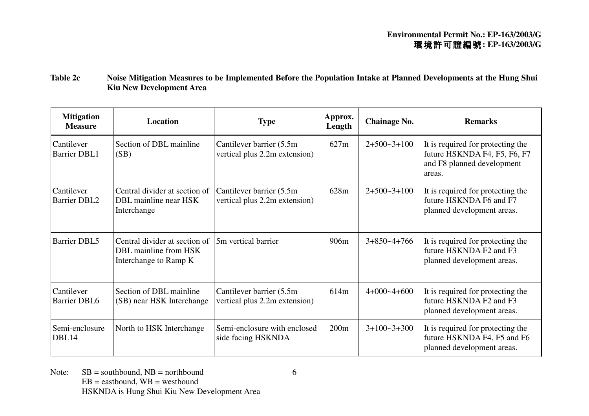**Table 2c Noise Mitigation Measures to be Implemented Before the Population Intake at Planned Developments at the Hung Shui Kiu New Development Area** 

| <b>Mitigation</b><br><b>Measure</b> | <b>Location</b>                                                                 | <b>Type</b>                                                | Approx.<br>Length | <b>Chainage No.</b> | <b>Remarks</b>                                                                                            |
|-------------------------------------|---------------------------------------------------------------------------------|------------------------------------------------------------|-------------------|---------------------|-----------------------------------------------------------------------------------------------------------|
| Cantilever<br><b>Barrier DBL1</b>   | Section of DBL mainline<br>(SB)                                                 | Cantilever barrier (5.5m)<br>vertical plus 2.2m extension) | 627m              | $2+500-3+100$       | It is required for protecting the<br>future HSKNDA F4, F5, F6, F7<br>and F8 planned development<br>areas. |
| Cantilever<br><b>Barrier DBL2</b>   | Central divider at section of<br>DBL mainline near HSK<br>Interchange           | Cantilever barrier (5.5m)<br>vertical plus 2.2m extension) | 628m              | $2+500-3+100$       | It is required for protecting the<br>future HSKNDA F6 and F7<br>planned development areas.                |
| <b>Barrier DBL5</b>                 | Central divider at section of<br>DBL mainline from HSK<br>Interchange to Ramp K | 5m vertical barrier                                        | 906m              | $3+850-4+766$       | It is required for protecting the<br>future HSKNDA F2 and F3<br>planned development areas.                |
| Cantilever<br><b>Barrier DBL6</b>   | Section of DBL mainline<br>(SB) near HSK Interchange                            | Cantilever barrier (5.5m)<br>vertical plus 2.2m extension) | 614m              | $4+000-4+600$       | It is required for protecting the<br>future HSKNDA F2 and F3<br>planned development areas.                |
| Semi-enclosure<br>DBL14             | North to HSK Interchange                                                        | Semi-enclosure with enclosed<br>side facing HSKNDA         | 200m              | $3+100-3+300$       | It is required for protecting the<br>future HSKNDA F4, F5 and F6<br>planned development areas.            |